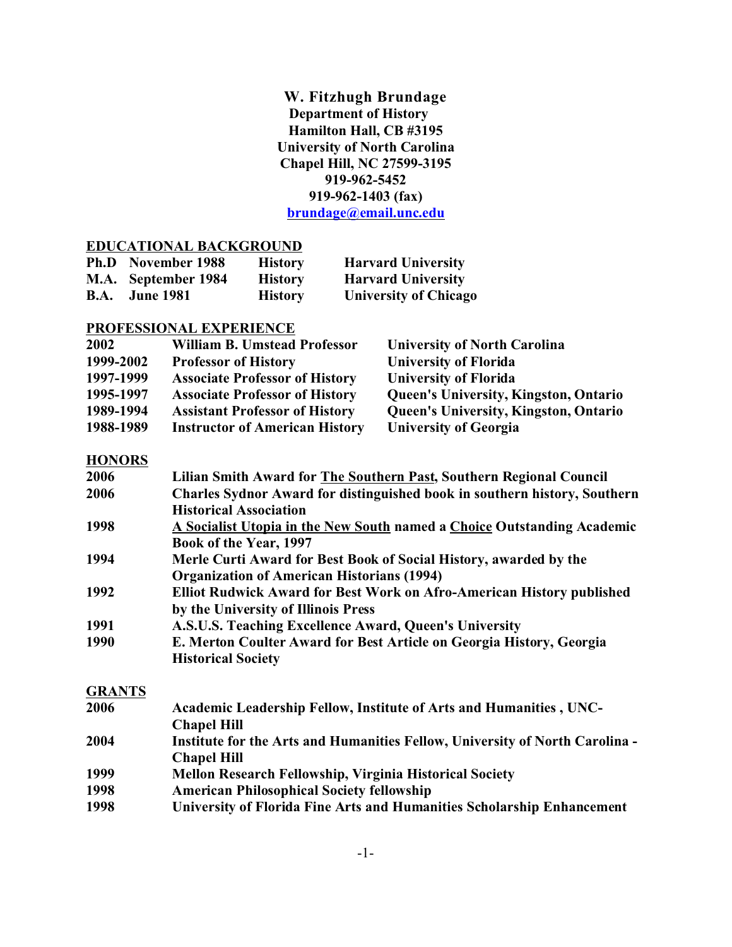**W. Fitzhugh Brundage Department of History Hamilton Hall, CB #3195 University of North Carolina Chapel Hill, NC 27599-3195 919-962-5452 919-962-1403 (fax) [brundage@email.unc.edu](mailto:brundage@email.unc.edu)**

### **EDUCATIONAL BACKGROUND**

| <b>Ph.D</b> November 1988 | <b>History</b> | <b>Harvard University</b>    |
|---------------------------|----------------|------------------------------|
| M.A. September 1984       | <b>History</b> | <b>Harvard University</b>    |
| <b>B.A.</b> June 1981     | <b>History</b> | <b>University of Chicago</b> |

### **PROFESSIONAL EXPERIENCE**

| 2002      | <b>William B. Umstead Professor</b>   | <b>University of North Carolina</b>          |
|-----------|---------------------------------------|----------------------------------------------|
| 1999-2002 | <b>Professor of History</b>           | <b>University of Florida</b>                 |
| 1997-1999 | <b>Associate Professor of History</b> | <b>University of Florida</b>                 |
| 1995-1997 | <b>Associate Professor of History</b> | <b>Queen's University, Kingston, Ontario</b> |
| 1989-1994 | <b>Assistant Professor of History</b> | <b>Queen's University, Kingston, Ontario</b> |
| 1988-1989 | <b>Instructor of American History</b> | <b>University of Georgia</b>                 |

## **HONORS**

| 2006          | Lilian Smith Award for The Southern Past, Southern Regional Council              |
|---------------|----------------------------------------------------------------------------------|
| 2006          | <b>Charles Sydnor Award for distinguished book in southern history, Southern</b> |
|               | <b>Historical Association</b>                                                    |
| 1998          | A Socialist Utopia in the New South named a Choice Outstanding Academic          |
|               | Book of the Year, 1997                                                           |
| 1994          | Merle Curti Award for Best Book of Social History, awarded by the                |
|               | <b>Organization of American Historians (1994)</b>                                |
| 1992          | <b>Elliot Rudwick Award for Best Work on Afro-American History published</b>     |
|               | by the University of Illinois Press                                              |
| 1991          | A.S.U.S. Teaching Excellence Award, Queen's University                           |
| 1990          | E. Merton Coulter Award for Best Article on Georgia History, Georgia             |
|               | <b>Historical Society</b>                                                        |
| <b>GRANTS</b> |                                                                                  |
| 2006          | Academic Leadership Fellow, Institute of Arts and Humanities, UNC-               |
|               | <b>Chapel Hill</b>                                                               |
| 2004          | Institute for the Arts and Humanities Fellow, University of North Carolina -     |
|               | <b>Chapel Hill</b>                                                               |
| 1999          | <b>Mellon Research Fellowship, Virginia Historical Society</b>                   |
| $\lambda$     | $\blacksquare$                                                                   |

- **1998 American Philosophical Society fellowship**
- **1998 University of Florida Fine Arts and Humanities Scholarship Enhancement**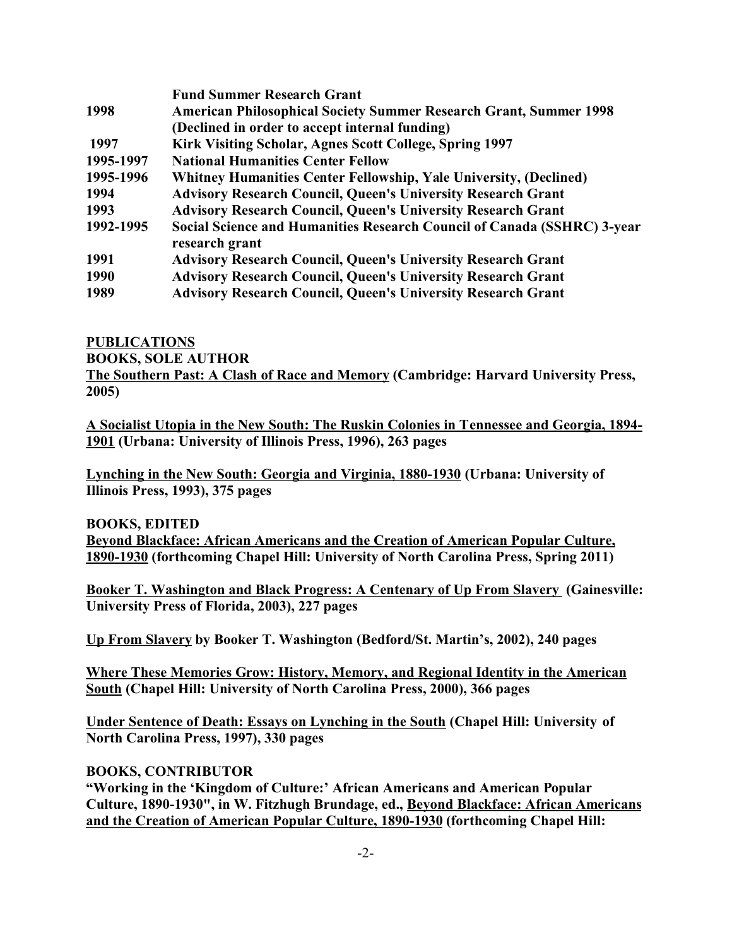|           | <b>Fund Summer Research Grant</b>                                        |
|-----------|--------------------------------------------------------------------------|
| 1998      | <b>American Philosophical Society Summer Research Grant, Summer 1998</b> |
|           | (Declined in order to accept internal funding)                           |
| 1997      | Kirk Visiting Scholar, Agnes Scott College, Spring 1997                  |
| 1995-1997 | <b>National Humanities Center Fellow</b>                                 |
| 1995-1996 | Whitney Humanities Center Fellowship, Yale University, (Declined)        |
| 1994      | <b>Advisory Research Council, Queen's University Research Grant</b>      |
| 1993      | <b>Advisory Research Council, Queen's University Research Grant</b>      |
| 1992-1995 | Social Science and Humanities Research Council of Canada (SSHRC) 3-year  |
|           | research grant                                                           |
| 1991      | <b>Advisory Research Council, Queen's University Research Grant</b>      |
| 1990      | <b>Advisory Research Council, Queen's University Research Grant</b>      |
| 1989      | <b>Advisory Research Council, Queen's University Research Grant</b>      |

#### **PUBLICATIONS**

**BOOKS, SOLE AUTHOR**

**The Southern Past: A Clash of Race and Memory (Cambridge: Harvard University Press, 2005)**

**A Socialist Utopia in the New South: The Ruskin Colonies in Tennessee and Georgia, 1894- 1901 (Urbana: University of Illinois Press, 1996), 263 pages**

**Lynching in the New South: Georgia and Virginia, 1880-1930 (Urbana: University of Illinois Press, 1993), 375 pages**

**BOOKS, EDITED**

**Beyond Blackface: African Americans and the Creation of American Popular Culture, 1890-1930 (forthcoming Chapel Hill: University of North Carolina Press, Spring 2011)**

**Booker T. Washington and Black Progress: A Centenary of Up From Slavery (Gainesville: University Press of Florida, 2003), 227 pages**

**Up From Slavery by Booker T. Washington (Bedford/St. Martin's, 2002), 240 pages**

**Where These Memories Grow: History, Memory, and Regional Identity in the American South (Chapel Hill: University of North Carolina Press, 2000), 366 pages**

**Under Sentence of Death: Essays on Lynching in the South (Chapel Hill: University of North Carolina Press, 1997), 330 pages**

### **BOOKS, CONTRIBUTOR**

**"Working in the 'Kingdom of Culture:' African Americans and American Popular Culture, 1890-1930", in W. Fitzhugh Brundage, ed., Beyond Blackface: African Americans and the Creation of American Popular Culture, 1890-1930 (forthcoming Chapel Hill:**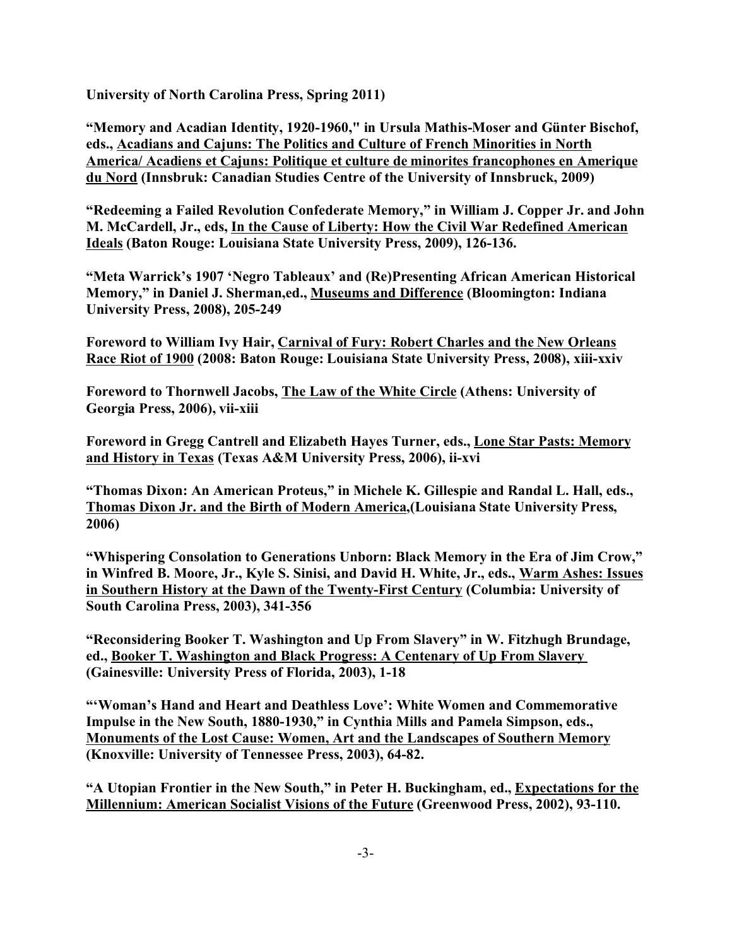**University of North Carolina Press, Spring 2011)**

**"Memory and Acadian Identity, 1920-1960," in Ursula Mathis-Moser and Günter Bischof, eds., Acadians and Cajuns: The Politics and Culture of French Minorities in North America/ Acadiens et Cajuns: Politique et culture de minorites francophones en Amerique du Nord (Innsbruk: Canadian Studies Centre of the University of Innsbruck, 2009)**

**"Redeeming a Failed Revolution Confederate Memory," in William J. Copper Jr. and John M. McCardell, Jr., eds, In the Cause of Liberty: How the Civil War Redefined American Ideals (Baton Rouge: Louisiana State University Press, 2009), 126-136.**

**"Meta Warrick's 1907 'Negro Tableaux' and (Re)Presenting African American Historical Memory," in Daniel J. Sherman,ed., Museums and Difference (Bloomington: Indiana University Press, 2008), 205-249**

**Foreword to William Ivy Hair, Carnival of Fury: Robert Charles and the New Orleans Race Riot of 1900 (2008: Baton Rouge: Louisiana State University Press, 2008), xiii-xxiv**

**Foreword to Thornwell Jacobs, The Law of the White Circle (Athens: University of Georgia Press, 2006), vii-xiii**

**Foreword in Gregg Cantrell and Elizabeth Hayes Turner, eds., Lone Star Pasts: Memory and History in Texas (Texas A&M University Press, 2006), ii-xvi**

**"Thomas Dixon: An American Proteus," in Michele K. Gillespie and Randal L. Hall, eds., Thomas Dixon Jr. and the Birth of Modern America,(Louisiana State University Press, 2006)**

**"Whispering Consolation to Generations Unborn: Black Memory in the Era of Jim Crow," in Winfred B. Moore, Jr., Kyle S. Sinisi, and David H. White, Jr., eds., Warm Ashes: Issues in Southern History at the Dawn of the Twenty-First Century (Columbia: University of South Carolina Press, 2003), 341-356**

**"Reconsidering Booker T. Washington and Up From Slavery" in W. Fitzhugh Brundage, ed., Booker T. Washington and Black Progress: A Centenary of Up From Slavery (Gainesville: University Press of Florida, 2003), 1-18**

**"'Woman's Hand and Heart and Deathless Love': White Women and Commemorative Impulse in the New South, 1880-1930," in Cynthia Mills and Pamela Simpson, eds., Monuments of the Lost Cause: Women, Art and the Landscapes of Southern Memory (Knoxville: University of Tennessee Press, 2003), 64-82.**

**"A Utopian Frontier in the New South," in Peter H. Buckingham, ed., Expectations for the Millennium: American Socialist Visions of the Future (Greenwood Press, 2002), 93-110.**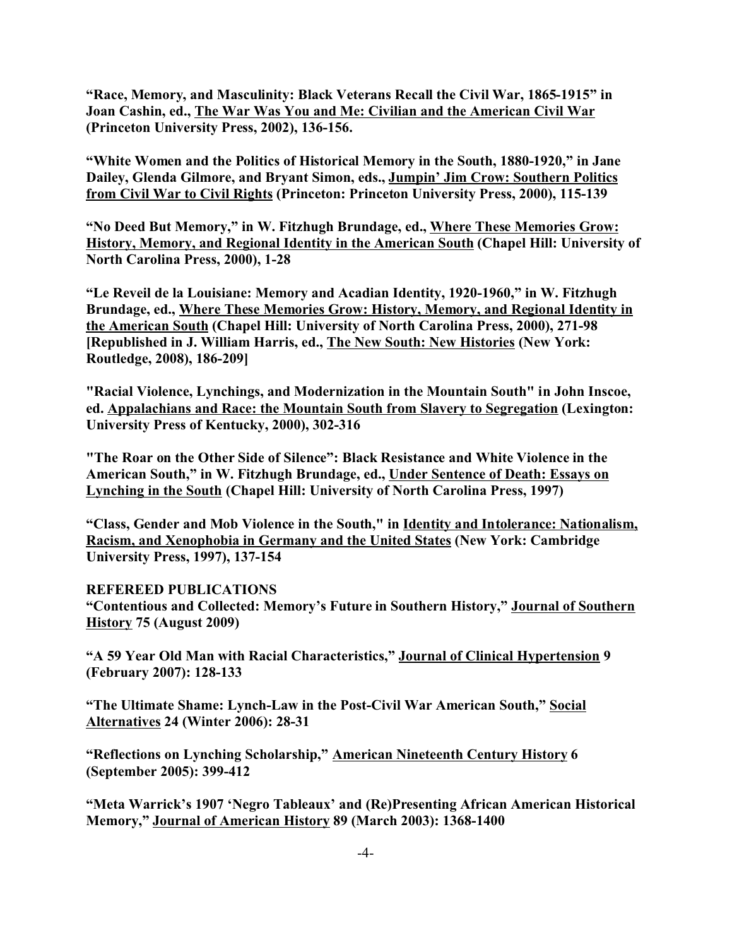**"Race, Memory, and Masculinity: Black Veterans Recall the Civil War, 1865-1915" in Joan Cashin, ed., The War Was You and Me: Civilian and the American Civil War (Princeton University Press, 2002), 136-156.**

**"White Women and the Politics of Historical Memory in the South, 1880-1920," in Jane Dailey, Glenda Gilmore, and Bryant Simon, eds., Jumpin' Jim Crow: Southern Politics from Civil War to Civil Rights (Princeton: Princeton University Press, 2000), 115-139**

**"No Deed But Memory," in W. Fitzhugh Brundage, ed., Where These Memories Grow: History, Memory, and Regional Identity in the American South (Chapel Hill: University of North Carolina Press, 2000), 1-28**

**"Le Reveil de la Louisiane: Memory and Acadian Identity, 1920-1960," in W. Fitzhugh Brundage, ed., Where These Memories Grow: History, Memory, and Regional Identity in the American South (Chapel Hill: University of North Carolina Press, 2000), 271-98 [Republished in J. William Harris, ed., The New South: New Histories (New York: Routledge, 2008), 186-209]**

**"Racial Violence, Lynchings, and Modernization in the Mountain South" in John Inscoe, ed. Appalachians and Race: the Mountain South from Slavery to Segregation (Lexington: University Press of Kentucky, 2000), 302-316**

**"The Roar on the Other Side of Silence": Black Resistance and White Violence in the American South," in W. Fitzhugh Brundage, ed., Under Sentence of Death: Essays on Lynching in the South (Chapel Hill: University of North Carolina Press, 1997)** 

**"Class, Gender and Mob Violence in the South," in Identity and Intolerance: Nationalism, Racism, and Xenophobia in Germany and the United States (New York: Cambridge University Press, 1997), 137-154** 

**REFEREED PUBLICATIONS**

**"Contentious and Collected: Memory's Future in Southern History," Journal of Southern History 75 (August 2009)**

**"A 59 Year Old Man with Racial Characteristics," Journal of Clinical Hypertension 9 (February 2007): 128-133**

**"The Ultimate Shame: Lynch-Law in the Post-Civil War American South," Social Alternatives 24 (Winter 2006): 28-31**

**"Reflections on Lynching Scholarship," American Nineteenth Century History 6 (September 2005): 399-412**

**"Meta Warrick's 1907 'Negro Tableaux' and (Re)Presenting African American Historical Memory," Journal of American History 89 (March 2003): 1368-1400**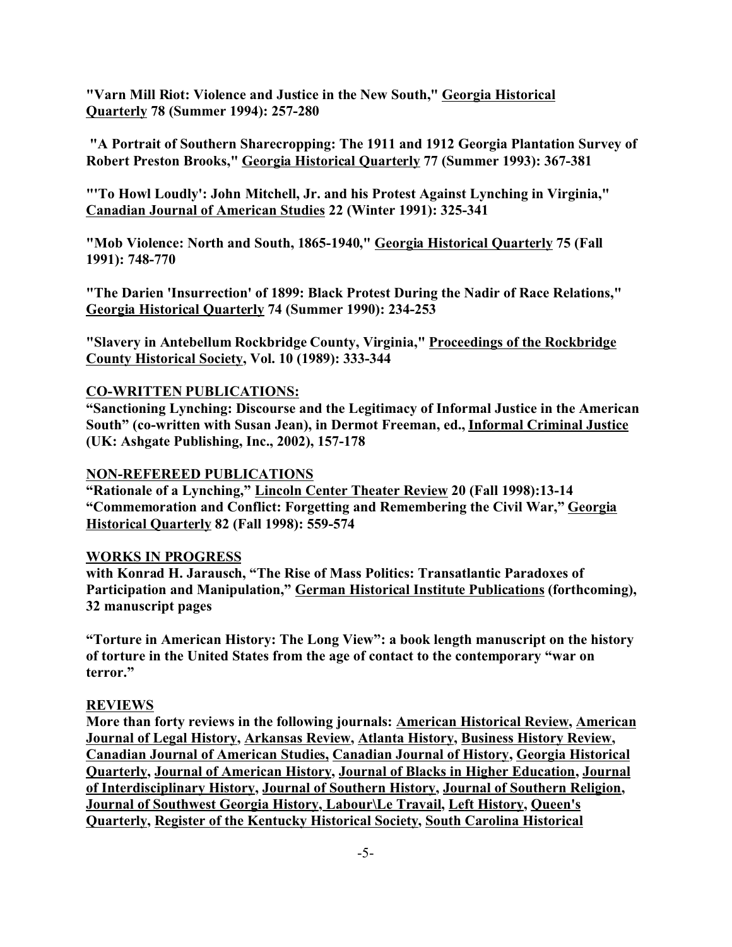**"Varn Mill Riot: Violence and Justice in the New South," Georgia Historical Quarterly 78 (Summer 1994): 257-280**

 **"A Portrait of Southern Sharecropping: The 1911 and 1912 Georgia Plantation Survey of Robert Preston Brooks," Georgia Historical Quarterly 77 (Summer 1993): 367-381**

**"'To Howl Loudly': John Mitchell, Jr. and his Protest Against Lynching in Virginia," Canadian Journal of American Studies 22 (Winter 1991): 325-341**

**"Mob Violence: North and South, 1865-1940," Georgia Historical Quarterly 75 (Fall 1991): 748-770**

**"The Darien 'Insurrection' of 1899: Black Protest During the Nadir of Race Relations," Georgia Historical Quarterly 74 (Summer 1990): 234-253**

**"Slavery in Antebellum Rockbridge County, Virginia," Proceedings of the Rockbridge County Historical Society, Vol. 10 (1989): 333-344**

### **CO-WRITTEN PUBLICATIONS:**

**"Sanctioning Lynching: Discourse and the Legitimacy of Informal Justice in the American South" (co-written with Susan Jean), in Dermot Freeman, ed., Informal Criminal Justice (UK: Ashgate Publishing, Inc., 2002), 157-178**

### **NON-REFEREED PUBLICATIONS**

**"Rationale of a Lynching," Lincoln Center Theater Review 20 (Fall 1998):13-14 "Commemoration and Conflict: Forgetting and Remembering the Civil War," Georgia Historical Quarterly 82 (Fall 1998): 559-574**

### **WORKS IN PROGRESS**

**with Konrad H. Jarausch, "The Rise of Mass Politics: Transatlantic Paradoxes of Participation and Manipulation," German Historical Institute Publications (forthcoming), 32 manuscript pages**

**"Torture in American History: The Long View": a book length manuscript on the history of torture in the United States from the age of contact to the contemporary "war on terror."**

### **REVIEWS**

**More than forty reviews in the following journals: American Historical Review, American Journal of Legal History, Arkansas Review, Atlanta History, Business History Review, Canadian Journal of American Studies, Canadian Journal of History, Georgia Historical Quarterly, Journal of American History, Journal of Blacks in Higher Education, Journal of Interdisciplinary History, Journal of Southern History, Journal of Southern Religion, Journal of Southwest Georgia History, Labour\Le Travail, Left History, Queen's Quarterly, Register of the Kentucky Historical Society, South Carolina Historical**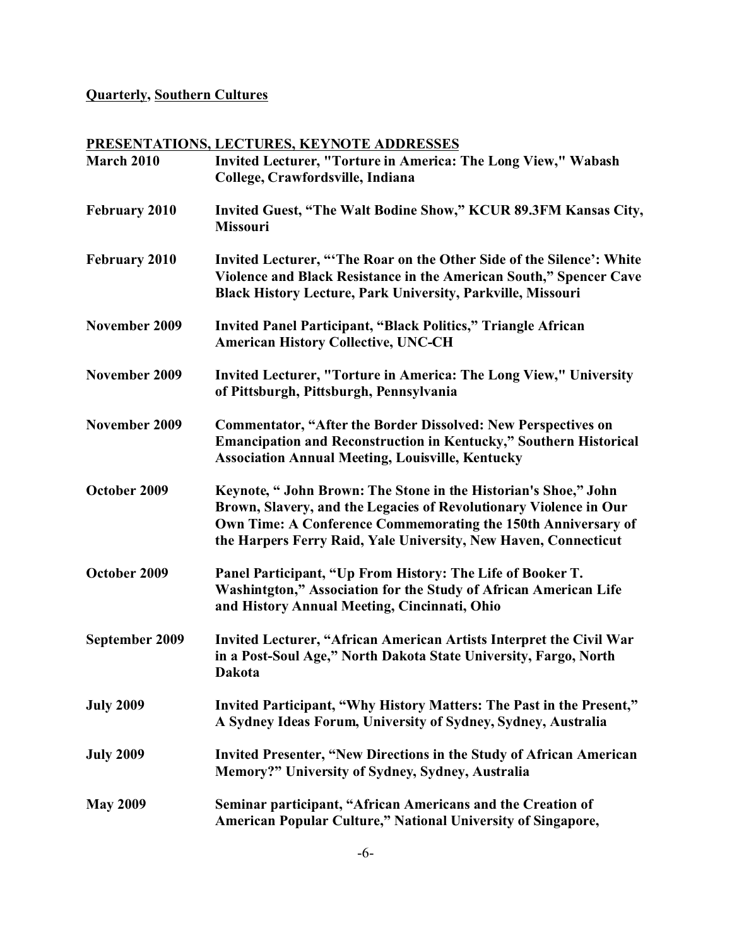## **Quarterly, Southern Cultures**

## **PRESENTATIONS, LECTURES, KEYNOTE ADDRESSES**

| March 2010           | Invited Lecturer, "Torture in America: The Long View," Wabash<br>College, Crawfordsville, Indiana                                                                                                                                                                       |
|----------------------|-------------------------------------------------------------------------------------------------------------------------------------------------------------------------------------------------------------------------------------------------------------------------|
| February 2010        | Invited Guest, "The Walt Bodine Show," KCUR 89.3FM Kansas City,<br><b>Missouri</b>                                                                                                                                                                                      |
| <b>February 2010</b> | Invited Lecturer, "The Roar on the Other Side of the Silence': White<br>Violence and Black Resistance in the American South," Spencer Cave<br><b>Black History Lecture, Park University, Parkville, Missouri</b>                                                        |
| November 2009        | <b>Invited Panel Participant, "Black Politics," Triangle African</b><br><b>American History Collective, UNC-CH</b>                                                                                                                                                      |
| November 2009        | Invited Lecturer, "Torture in America: The Long View," University<br>of Pittsburgh, Pittsburgh, Pennsylvania                                                                                                                                                            |
| November 2009        | <b>Commentator, "After the Border Dissolved: New Perspectives on</b><br><b>Emancipation and Reconstruction in Kentucky," Southern Historical</b><br><b>Association Annual Meeting, Louisville, Kentucky</b>                                                             |
| October 2009         | Keynote, "John Brown: The Stone in the Historian's Shoe," John<br>Brown, Slavery, and the Legacies of Revolutionary Violence in Our<br>Own Time: A Conference Commemorating the 150th Anniversary of<br>the Harpers Ferry Raid, Yale University, New Haven, Connecticut |
| October 2009         | Panel Participant, "Up From History: The Life of Booker T.<br>Washintgton," Association for the Study of African American Life<br>and History Annual Meeting, Cincinnati, Ohio                                                                                          |
| September 2009       | Invited Lecturer, "African American Artists Interpret the Civil War<br>in a Post-Soul Age," North Dakota State University, Fargo, North<br><b>Dakota</b>                                                                                                                |
| <b>July 2009</b>     | Invited Participant, "Why History Matters: The Past in the Present,"<br>A Sydney Ideas Forum, University of Sydney, Sydney, Australia                                                                                                                                   |
| <b>July 2009</b>     | Invited Presenter, "New Directions in the Study of African American<br>Memory?" University of Sydney, Sydney, Australia                                                                                                                                                 |
| <b>May 2009</b>      | Seminar participant, "African Americans and the Creation of<br>American Popular Culture," National University of Singapore,                                                                                                                                             |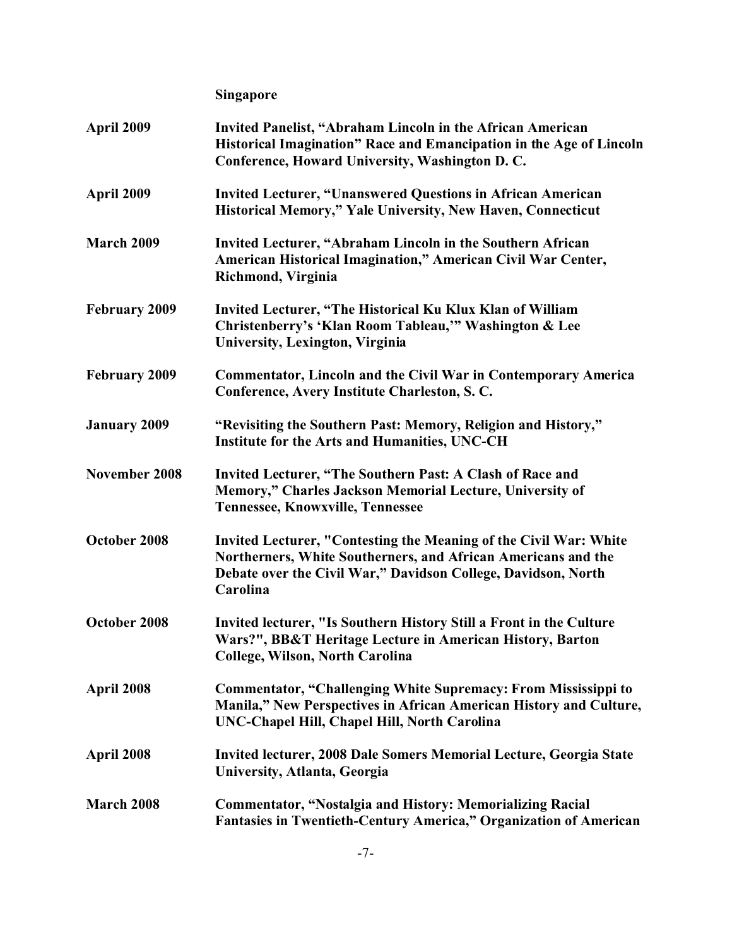**Singapore**

| April 2009           | Invited Panelist, "Abraham Lincoln in the African American<br>Historical Imagination" Race and Emancipation in the Age of Lincoln<br>Conference, Howard University, Washington D.C.                             |
|----------------------|-----------------------------------------------------------------------------------------------------------------------------------------------------------------------------------------------------------------|
| April 2009           | <b>Invited Lecturer, "Unanswered Questions in African American</b><br>Historical Memory," Yale University, New Haven, Connecticut                                                                               |
| <b>March 2009</b>    | Invited Lecturer, "Abraham Lincoln in the Southern African<br>American Historical Imagination," American Civil War Center,<br>Richmond, Virginia                                                                |
| <b>February 2009</b> | Invited Lecturer, "The Historical Ku Klux Klan of William<br>Christenberry's 'Klan Room Tableau," Washington & Lee<br>University, Lexington, Virginia                                                           |
| February 2009        | <b>Commentator, Lincoln and the Civil War in Contemporary America</b><br>Conference, Avery Institute Charleston, S.C.                                                                                           |
| <b>January 2009</b>  | "Revisiting the Southern Past: Memory, Religion and History,"<br>Institute for the Arts and Humanities, UNC-CH                                                                                                  |
| November 2008        | Invited Lecturer, "The Southern Past: A Clash of Race and<br>Memory," Charles Jackson Memorial Lecture, University of<br><b>Tennessee, Knowxville, Tennessee</b>                                                |
| October 2008         | Invited Lecturer, "Contesting the Meaning of the Civil War: White<br>Northerners, White Southerners, and African Americans and the<br>Debate over the Civil War," Davidson College, Davidson, North<br>Carolina |
| October 2008         | Invited lecturer, "Is Southern History Still a Front in the Culture<br>Wars?", BB&T Heritage Lecture in American History, Barton<br><b>College, Wilson, North Carolina</b>                                      |
| April 2008           | <b>Commentator, "Challenging White Supremacy: From Mississippi to</b><br>Manila," New Perspectives in African American History and Culture,<br>UNC-Chapel Hill, Chapel Hill, North Carolina                     |
| April 2008           | Invited lecturer, 2008 Dale Somers Memorial Lecture, Georgia State<br>University, Atlanta, Georgia                                                                                                              |
| March 2008           | <b>Commentator, "Nostalgia and History: Memorializing Racial</b><br>Fantasies in Twentieth-Century America," Organization of American                                                                           |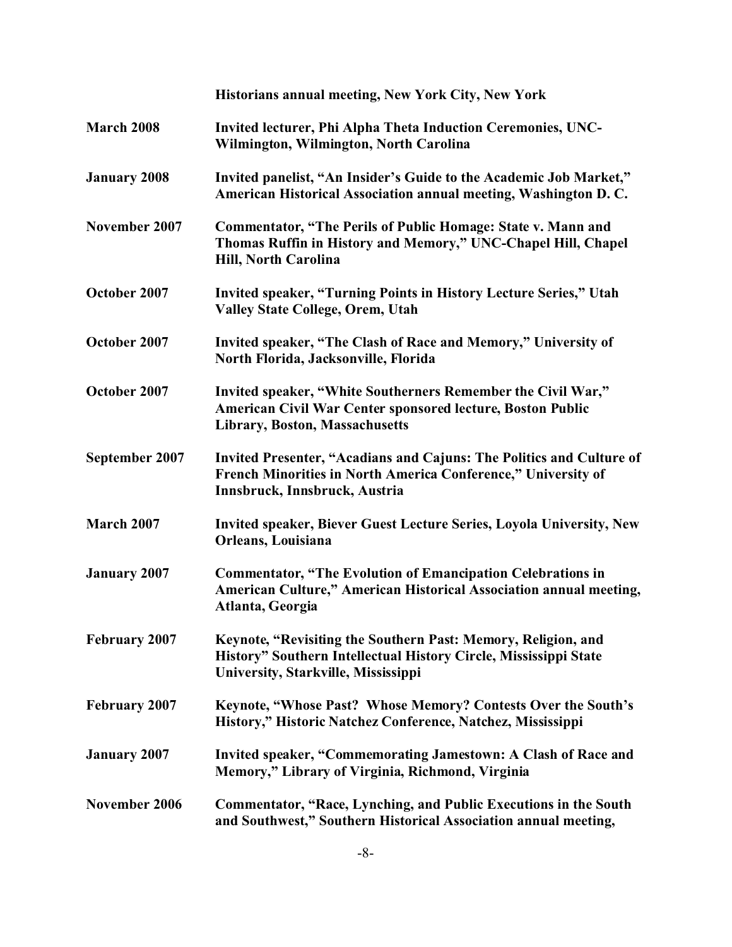|                      | Historians annual meeting, New York City, New York                                                                                                                       |
|----------------------|--------------------------------------------------------------------------------------------------------------------------------------------------------------------------|
| March 2008           | Invited lecturer, Phi Alpha Theta Induction Ceremonies, UNC-<br>Wilmington, Wilmington, North Carolina                                                                   |
| <b>January 2008</b>  | Invited panelist, "An Insider's Guide to the Academic Job Market,"<br>American Historical Association annual meeting, Washington D.C.                                    |
| November 2007        | Commentator, "The Perils of Public Homage: State v. Mann and<br>Thomas Ruffin in History and Memory," UNC-Chapel Hill, Chapel<br>Hill, North Carolina                    |
| October 2007         | Invited speaker, "Turning Points in History Lecture Series," Utah<br><b>Valley State College, Orem, Utah</b>                                                             |
| October 2007         | Invited speaker, "The Clash of Race and Memory," University of<br>North Florida, Jacksonville, Florida                                                                   |
| October 2007         | Invited speaker, "White Southerners Remember the Civil War,"<br>American Civil War Center sponsored lecture, Boston Public<br>Library, Boston, Massachusetts             |
| September 2007       | Invited Presenter, "Acadians and Cajuns: The Politics and Culture of<br>French Minorities in North America Conference," University of<br>Innsbruck, Innsbruck, Austria   |
| <b>March 2007</b>    | <b>Invited speaker, Biever Guest Lecture Series, Loyola University, New</b><br>Orleans, Louisiana                                                                        |
| <b>January 2007</b>  | <b>Commentator, "The Evolution of Emancipation Celebrations in</b><br>American Culture," American Historical Association annual meeting,<br>Atlanta, Georgia             |
| <b>February 2007</b> | Keynote, "Revisiting the Southern Past: Memory, Religion, and<br>History" Southern Intellectual History Circle, Mississippi State<br>University, Starkville, Mississippi |
| <b>February 2007</b> | Keynote, "Whose Past? Whose Memory? Contests Over the South's<br>History," Historic Natchez Conference, Natchez, Mississippi                                             |
| <b>January 2007</b>  | Invited speaker, "Commemorating Jamestown: A Clash of Race and<br>Memory," Library of Virginia, Richmond, Virginia                                                       |
| November 2006        | <b>Commentator, "Race, Lynching, and Public Executions in the South</b><br>and Southwest," Southern Historical Association annual meeting,                               |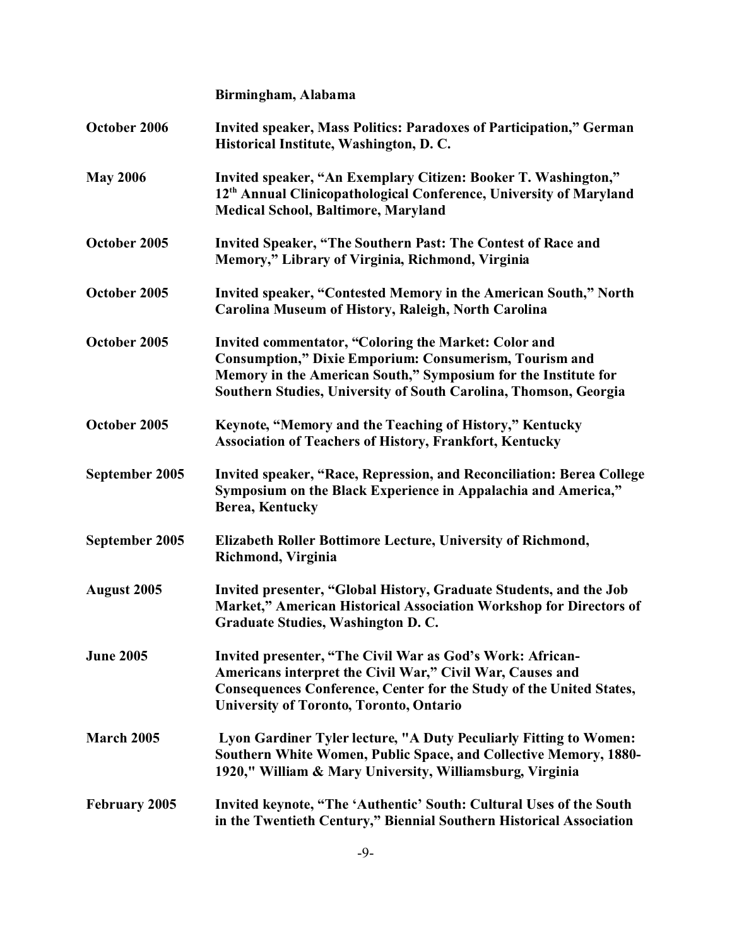|                      | Birmingham, Alabama                                                                                                                                                                                                                                         |
|----------------------|-------------------------------------------------------------------------------------------------------------------------------------------------------------------------------------------------------------------------------------------------------------|
| October 2006         | Invited speaker, Mass Politics: Paradoxes of Participation," German<br>Historical Institute, Washington, D. C.                                                                                                                                              |
| <b>May 2006</b>      | Invited speaker, "An Exemplary Citizen: Booker T. Washington,"<br>12 <sup>th</sup> Annual Clinicopathological Conference, University of Maryland<br><b>Medical School, Baltimore, Maryland</b>                                                              |
| October 2005         | Invited Speaker, "The Southern Past: The Contest of Race and<br>Memory," Library of Virginia, Richmond, Virginia                                                                                                                                            |
| October 2005         | Invited speaker, "Contested Memory in the American South," North<br>Carolina Museum of History, Raleigh, North Carolina                                                                                                                                     |
| October 2005         | Invited commentator, "Coloring the Market: Color and<br><b>Consumption," Dixie Emporium: Consumerism, Tourism and</b><br>Memory in the American South," Symposium for the Institute for<br>Southern Studies, University of South Carolina, Thomson, Georgia |
| October 2005         | Keynote, "Memory and the Teaching of History," Kentucky<br><b>Association of Teachers of History, Frankfort, Kentucky</b>                                                                                                                                   |
| September 2005       | Invited speaker, "Race, Repression, and Reconciliation: Berea College<br>Symposium on the Black Experience in Appalachia and America,"<br>Berea, Kentucky                                                                                                   |
| September 2005       | Elizabeth Roller Bottimore Lecture, University of Richmond,<br>Richmond, Virginia                                                                                                                                                                           |
| <b>August 2005</b>   | Invited presenter, "Global History, Graduate Students, and the Job<br>Market," American Historical Association Workshop for Directors of<br>Graduate Studies, Washington D.C.                                                                               |
| <b>June 2005</b>     | Invited presenter, "The Civil War as God's Work: African-<br>Americans interpret the Civil War," Civil War, Causes and<br>Consequences Conference, Center for the Study of the United States,<br><b>University of Toronto, Toronto, Ontario</b>             |
| <b>March 2005</b>    | Lyon Gardiner Tyler lecture, "A Duty Peculiarly Fitting to Women:<br>Southern White Women, Public Space, and Collective Memory, 1880-<br>1920," William & Mary University, Williamsburg, Virginia                                                           |
| <b>February 2005</b> | Invited keynote, "The 'Authentic' South: Cultural Uses of the South<br>in the Twentieth Century," Biennial Southern Historical Association                                                                                                                  |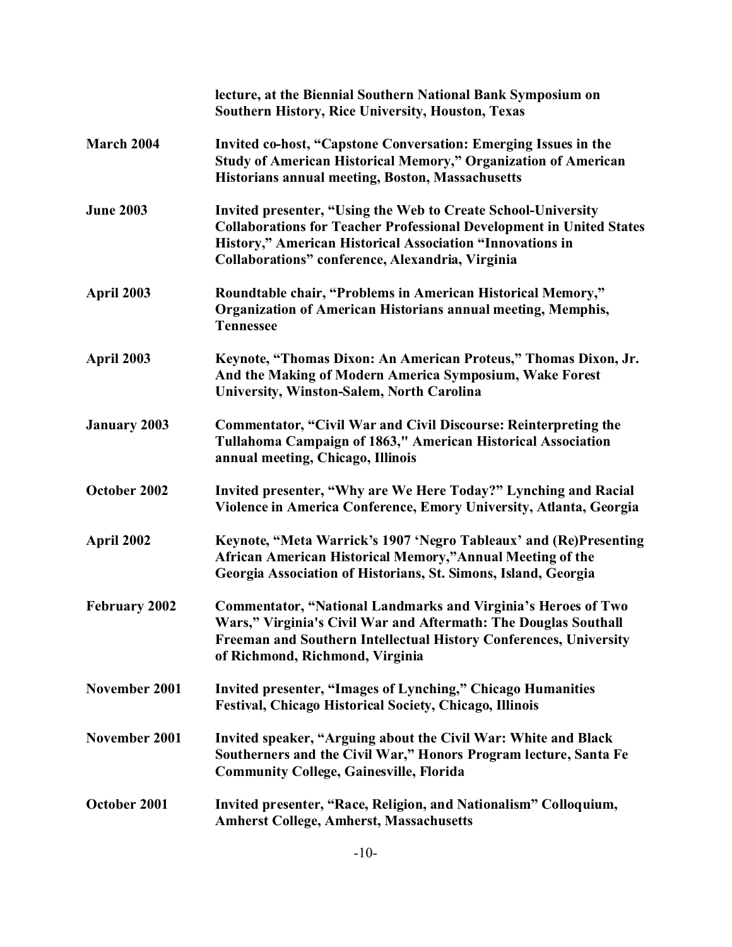|                      | lecture, at the Biennial Southern National Bank Symposium on<br><b>Southern History, Rice University, Houston, Texas</b>                                                                                                                                             |
|----------------------|----------------------------------------------------------------------------------------------------------------------------------------------------------------------------------------------------------------------------------------------------------------------|
| March 2004           | Invited co-host, "Capstone Conversation: Emerging Issues in the<br>Study of American Historical Memory," Organization of American<br><b>Historians annual meeting, Boston, Massachusetts</b>                                                                         |
| <b>June 2003</b>     | <b>Invited presenter, "Using the Web to Create School-University</b><br><b>Collaborations for Teacher Professional Development in United States</b><br>History," American Historical Association "Innovations in<br>Collaborations" conference, Alexandria, Virginia |
| April 2003           | Roundtable chair, "Problems in American Historical Memory,"<br>Organization of American Historians annual meeting, Memphis,<br><b>Tennessee</b>                                                                                                                      |
| April 2003           | Keynote, "Thomas Dixon: An American Proteus," Thomas Dixon, Jr.<br>And the Making of Modern America Symposium, Wake Forest<br>University, Winston-Salem, North Carolina                                                                                              |
| <b>January 2003</b>  | Commentator, "Civil War and Civil Discourse: Reinterpreting the<br>Tullahoma Campaign of 1863," American Historical Association<br>annual meeting, Chicago, Illinois                                                                                                 |
| October 2002         | Invited presenter, "Why are We Here Today?" Lynching and Racial<br>Violence in America Conference, Emory University, Atlanta, Georgia                                                                                                                                |
| April 2002           | Keynote, "Meta Warrick's 1907 'Negro Tableaux' and (Re)Presenting<br>African American Historical Memory,"Annual Meeting of the<br>Georgia Association of Historians, St. Simons, Island, Georgia                                                                     |
| <b>February 2002</b> | <b>Commentator, "National Landmarks and Virginia's Heroes of Two</b><br>Wars," Virginia's Civil War and Aftermath: The Douglas Southall<br>Freeman and Southern Intellectual History Conferences, University<br>of Richmond, Richmond, Virginia                      |
| November 2001        | Invited presenter, "Images of Lynching," Chicago Humanities<br><b>Festival, Chicago Historical Society, Chicago, Illinois</b>                                                                                                                                        |
| November 2001        | Invited speaker, "Arguing about the Civil War: White and Black<br>Southerners and the Civil War," Honors Program lecture, Santa Fe<br><b>Community College, Gainesville, Florida</b>                                                                                 |
| October 2001         | Invited presenter, "Race, Religion, and Nationalism" Colloquium,<br><b>Amherst College, Amherst, Massachusetts</b>                                                                                                                                                   |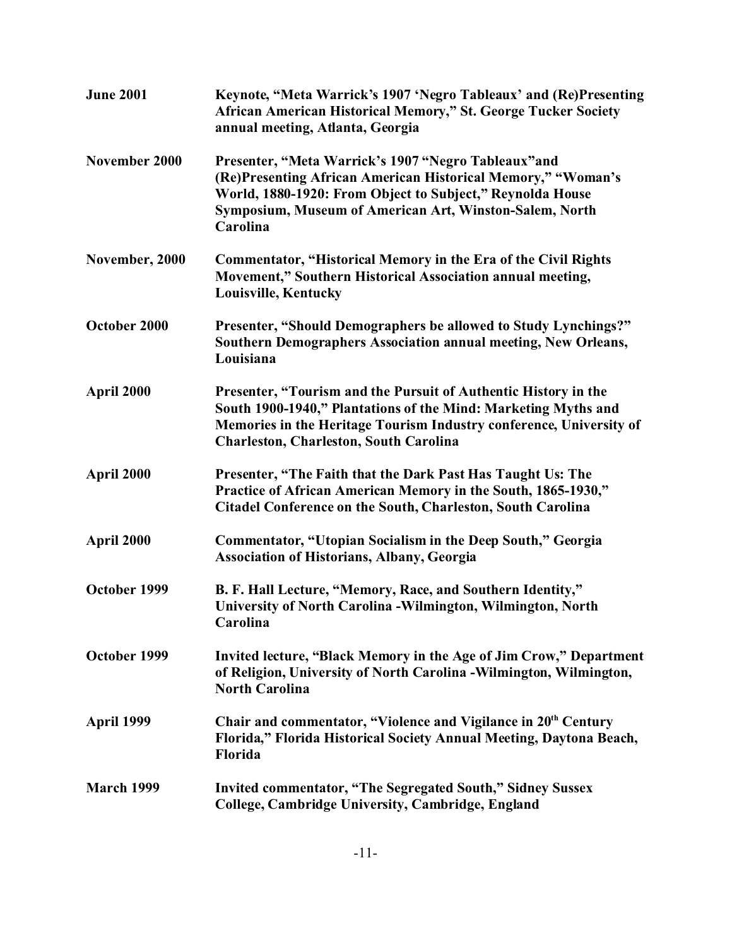| <b>June 2001</b>  | Keynote, "Meta Warrick's 1907 'Negro Tableaux' and (Re)Presenting<br>African American Historical Memory," St. George Tucker Society<br>annual meeting, Atlanta, Georgia                                                                                   |
|-------------------|-----------------------------------------------------------------------------------------------------------------------------------------------------------------------------------------------------------------------------------------------------------|
| November 2000     | Presenter, "Meta Warrick's 1907 "Negro Tableaux" and<br>(Re)Presenting African American Historical Memory," "Woman's<br>World, 1880-1920: From Object to Subject," Reynolda House<br>Symposium, Museum of American Art, Winston-Salem, North<br>Carolina  |
| November, 2000    | <b>Commentator, "Historical Memory in the Era of the Civil Rights</b><br>Movement," Southern Historical Association annual meeting,<br>Louisville, Kentucky                                                                                               |
| October 2000      | Presenter, "Should Demographers be allowed to Study Lynchings?"<br>Southern Demographers Association annual meeting, New Orleans,<br>Louisiana                                                                                                            |
| April 2000        | Presenter, "Tourism and the Pursuit of Authentic History in the<br>South 1900-1940," Plantations of the Mind: Marketing Myths and<br>Memories in the Heritage Tourism Industry conference, University of<br><b>Charleston, Charleston, South Carolina</b> |
| April 2000        | Presenter, "The Faith that the Dark Past Has Taught Us: The<br>Practice of African American Memory in the South, 1865-1930,"<br>Citadel Conference on the South, Charleston, South Carolina                                                               |
| April 2000        | Commentator, "Utopian Socialism in the Deep South," Georgia<br><b>Association of Historians, Albany, Georgia</b>                                                                                                                                          |
| October 1999      | B. F. Hall Lecture, "Memory, Race, and Southern Identity,"<br>University of North Carolina - Wilmington, Wilmington, North<br>Carolina                                                                                                                    |
| October 1999      | Invited lecture, "Black Memory in the Age of Jim Crow," Department<br>of Religion, University of North Carolina - Wilmington, Wilmington,<br><b>North Carolina</b>                                                                                        |
| April 1999        | Chair and commentator, "Violence and Vigilance in 20th Century<br>Florida," Florida Historical Society Annual Meeting, Daytona Beach,<br>Florida                                                                                                          |
| <b>March 1999</b> | Invited commentator, "The Segregated South," Sidney Sussex<br>College, Cambridge University, Cambridge, England                                                                                                                                           |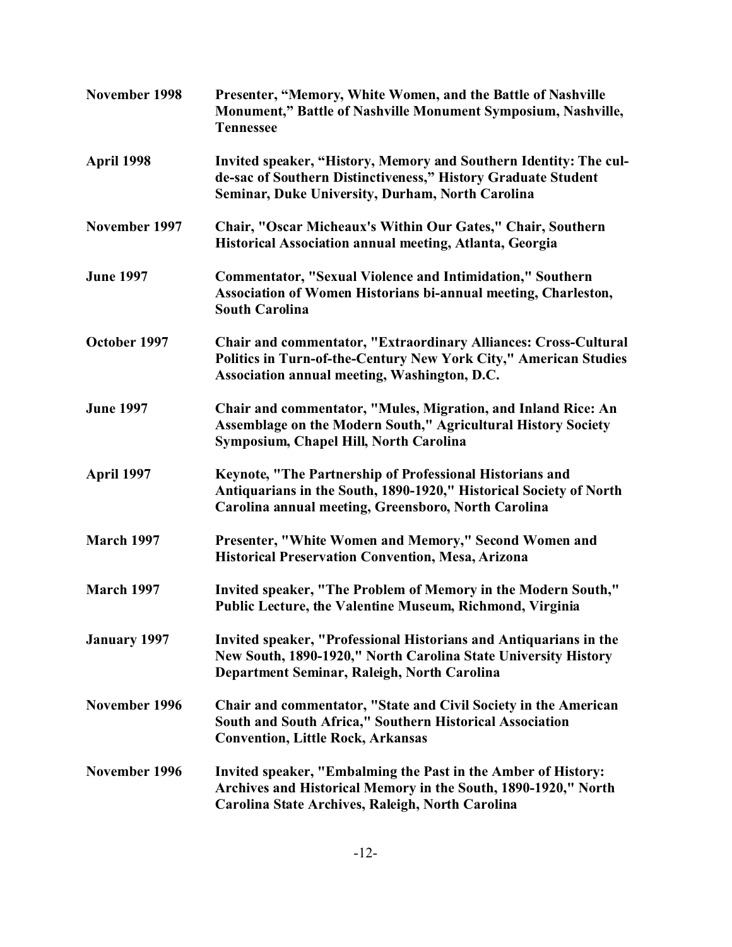| November 1998       | Presenter, "Memory, White Women, and the Battle of Nashville<br>Monument," Battle of Nashville Monument Symposium, Nashville,<br><b>Tennessee</b>                                      |
|---------------------|----------------------------------------------------------------------------------------------------------------------------------------------------------------------------------------|
| April 1998          | Invited speaker, "History, Memory and Southern Identity: The cul-<br>de-sac of Southern Distinctiveness," History Graduate Student<br>Seminar, Duke University, Durham, North Carolina |
| November 1997       | Chair, "Oscar Micheaux's Within Our Gates," Chair, Southern<br>Historical Association annual meeting, Atlanta, Georgia                                                                 |
| <b>June 1997</b>    | <b>Commentator, "Sexual Violence and Intimidation," Southern</b><br>Association of Women Historians bi-annual meeting, Charleston,<br><b>South Carolina</b>                            |
| October 1997        | Chair and commentator, "Extraordinary Alliances: Cross-Cultural<br>Politics in Turn-of-the-Century New York City," American Studies<br>Association annual meeting, Washington, D.C.    |
| <b>June 1997</b>    | Chair and commentator, "Mules, Migration, and Inland Rice: An<br>Assemblage on the Modern South," Agricultural History Society<br>Symposium, Chapel Hill, North Carolina               |
| April 1997          | Keynote, "The Partnership of Professional Historians and<br>Antiquarians in the South, 1890-1920," Historical Society of North<br>Carolina annual meeting, Greensboro, North Carolina  |
| <b>March 1997</b>   | Presenter, "White Women and Memory," Second Women and<br>Historical Preservation Convention, Mesa, Arizona                                                                             |
| <b>March 1997</b>   | Invited speaker, "The Problem of Memory in the Modern South,"<br>Public Lecture, the Valentine Museum, Richmond, Virginia                                                              |
| <b>January 1997</b> | Invited speaker, "Professional Historians and Antiquarians in the<br>New South, 1890-1920," North Carolina State University History<br>Department Seminar, Raleigh, North Carolina     |
| November 1996       | Chair and commentator, "State and Civil Society in the American<br>South and South Africa," Southern Historical Association<br><b>Convention, Little Rock, Arkansas</b>                |
| November 1996       | Invited speaker, "Embalming the Past in the Amber of History:<br>Archives and Historical Memory in the South, 1890-1920," North<br>Carolina State Archives, Raleigh, North Carolina    |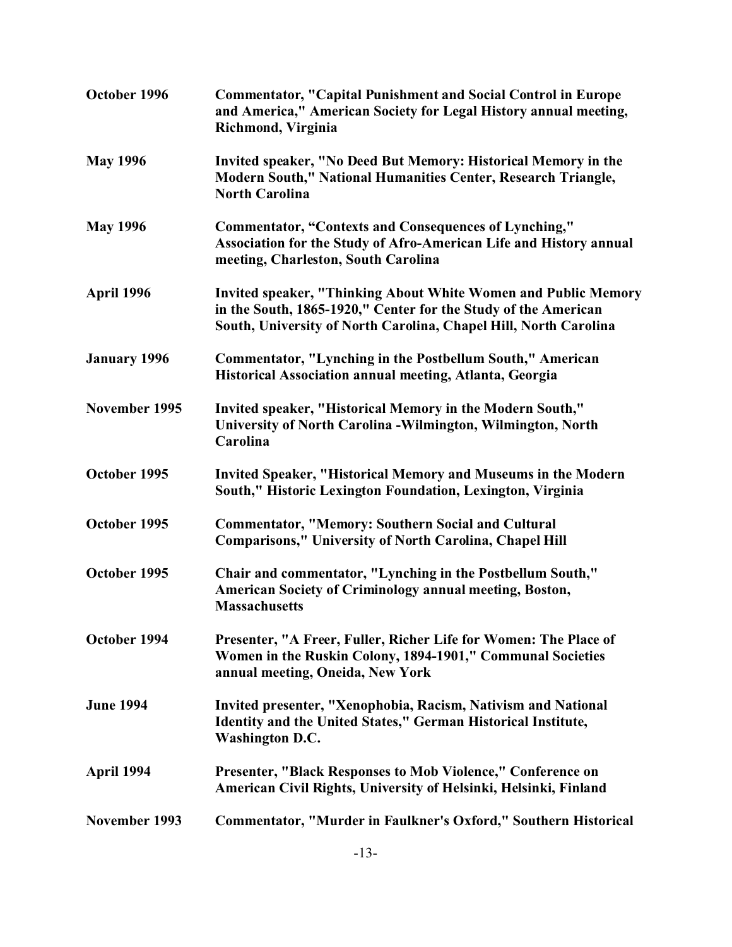| October 1996        | <b>Commentator, "Capital Punishment and Social Control in Europe</b><br>and America," American Society for Legal History annual meeting,<br>Richmond, Virginia                                              |
|---------------------|-------------------------------------------------------------------------------------------------------------------------------------------------------------------------------------------------------------|
| <b>May 1996</b>     | Invited speaker, "No Deed But Memory: Historical Memory in the<br>Modern South," National Humanities Center, Research Triangle,<br><b>North Carolina</b>                                                    |
| <b>May 1996</b>     | <b>Commentator, "Contexts and Consequences of Lynching,"</b><br>Association for the Study of Afro-American Life and History annual<br>meeting, Charleston, South Carolina                                   |
| April 1996          | <b>Invited speaker, "Thinking About White Women and Public Memory</b><br>in the South, 1865-1920," Center for the Study of the American<br>South, University of North Carolina, Chapel Hill, North Carolina |
| <b>January 1996</b> | Commentator, "Lynching in the Postbellum South," American<br>Historical Association annual meeting, Atlanta, Georgia                                                                                        |
| November 1995       | Invited speaker, "Historical Memory in the Modern South,"<br>University of North Carolina - Wilmington, Wilmington, North<br>Carolina                                                                       |
| October 1995        | <b>Invited Speaker, "Historical Memory and Museums in the Modern</b><br>South," Historic Lexington Foundation, Lexington, Virginia                                                                          |
| October 1995        | <b>Commentator, "Memory: Southern Social and Cultural</b><br><b>Comparisons," University of North Carolina, Chapel Hill</b>                                                                                 |
| October 1995        | Chair and commentator, "Lynching in the Postbellum South,"<br>American Society of Criminology annual meeting, Boston,<br><b>Massachusetts</b>                                                               |
| October 1994        | Presenter, "A Freer, Fuller, Richer Life for Women: The Place of<br>Women in the Ruskin Colony, 1894-1901," Communal Societies<br>annual meeting, Oneida, New York                                          |
| <b>June 1994</b>    | Invited presenter, "Xenophobia, Racism, Nativism and National<br>Identity and the United States," German Historical Institute,<br><b>Washington D.C.</b>                                                    |
| April 1994          | <b>Presenter, "Black Responses to Mob Violence," Conference on</b><br>American Civil Rights, University of Helsinki, Helsinki, Finland                                                                      |
| November 1993       | Commentator, "Murder in Faulkner's Oxford," Southern Historical                                                                                                                                             |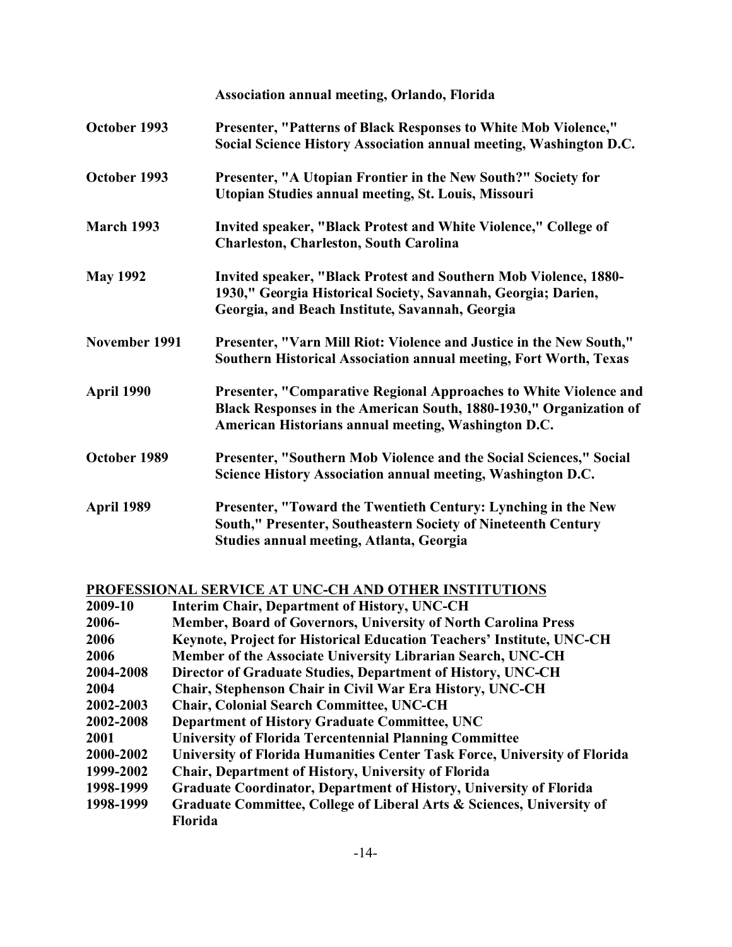|                   | Association annual meeting, Orlando, Florida                                                                                                                                                   |
|-------------------|------------------------------------------------------------------------------------------------------------------------------------------------------------------------------------------------|
| October 1993      | Presenter, "Patterns of Black Responses to White Mob Violence,"<br>Social Science History Association annual meeting, Washington D.C.                                                          |
| October 1993      | Presenter, "A Utopian Frontier in the New South?" Society for<br>Utopian Studies annual meeting, St. Louis, Missouri                                                                           |
| <b>March 1993</b> | Invited speaker, "Black Protest and White Violence," College of<br><b>Charleston, Charleston, South Carolina</b>                                                                               |
| <b>May 1992</b>   | Invited speaker, "Black Protest and Southern Mob Violence, 1880-<br>1930," Georgia Historical Society, Savannah, Georgia; Darien,<br>Georgia, and Beach Institute, Savannah, Georgia           |
| November 1991     | Presenter, "Varn Mill Riot: Violence and Justice in the New South,"<br>Southern Historical Association annual meeting, Fort Worth, Texas                                                       |
| April 1990        | Presenter, "Comparative Regional Approaches to White Violence and<br>Black Responses in the American South, 1880-1930," Organization of<br>American Historians annual meeting, Washington D.C. |
| October 1989      | Presenter, "Southern Mob Violence and the Social Sciences," Social<br>Science History Association annual meeting, Washington D.C.                                                              |
| April 1989        | Presenter, "Toward the Twentieth Century: Lynching in the New<br>South," Presenter, Southeastern Society of Nineteenth Century<br>Studies annual meeting, Atlanta, Georgia                     |

# **PROFESSIONAL SERVICE AT UNC-CH AND OTHER INSTITUTIONS**

| 2009-10   | <b>Interim Chair, Department of History, UNC-CH</b>                       |
|-----------|---------------------------------------------------------------------------|
| 2006-     | Member, Board of Governors, University of North Carolina Press            |
| 2006      | Keynote, Project for Historical Education Teachers' Institute, UNC-CH     |
| 2006      | Member of the Associate University Librarian Search, UNC-CH               |
| 2004-2008 | Director of Graduate Studies, Department of History, UNC-CH               |
| 2004      | Chair, Stephenson Chair in Civil War Era History, UNC-CH                  |
| 2002-2003 | <b>Chair, Colonial Search Committee, UNC-CH</b>                           |
| 2002-2008 | Department of History Graduate Committee, UNC                             |
| 2001      | <b>University of Florida Tercentennial Planning Committee</b>             |
| 2000-2002 | University of Florida Humanities Center Task Force, University of Florida |
| 1999-2002 | Chair, Department of History, University of Florida                       |
| 1998-1999 | <b>Graduate Coordinator, Department of History, University of Florida</b> |
| 1998-1999 | Graduate Committee, College of Liberal Arts & Sciences, University of     |
|           | Florida                                                                   |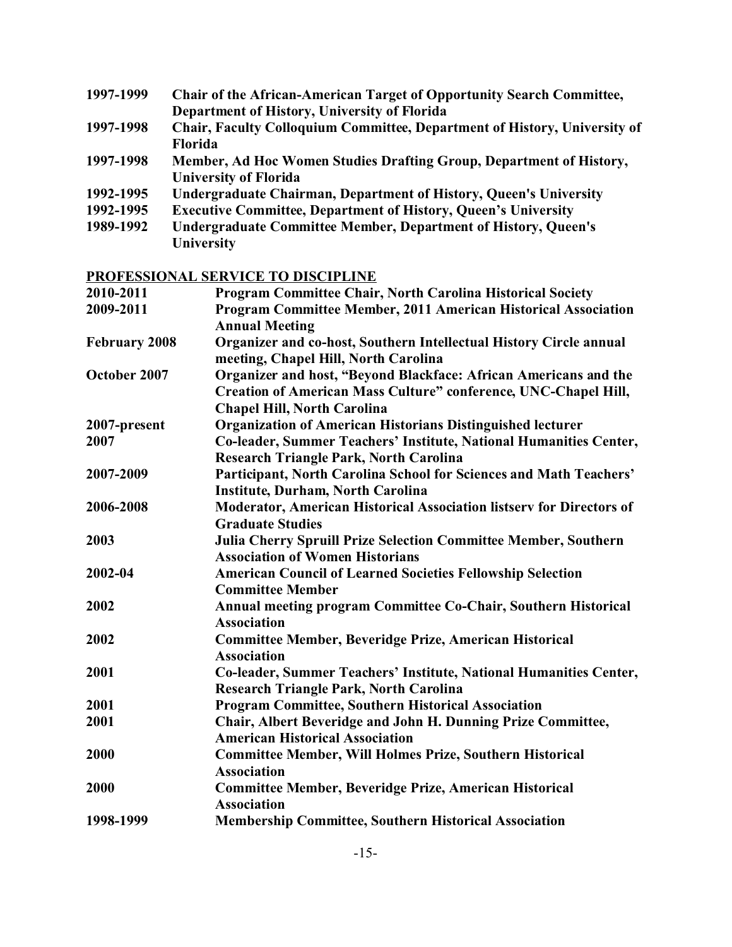| 1997-1999 | <b>Chair of the African-American Target of Opportunity Search Committee,</b> |
|-----------|------------------------------------------------------------------------------|
|           | Department of History, University of Florida                                 |
| 1997-1998 | Chair, Faculty Colloquium Committee, Department of History, University of    |
|           | Florida                                                                      |
| 1997-1998 | Member, Ad Hoc Women Studies Drafting Group, Department of History,          |
|           | <b>University of Florida</b>                                                 |
| 1992-1995 | <b>Undergraduate Chairman, Department of History, Queen's University</b>     |
| 1992-1995 | <b>Executive Committee, Department of History, Queen's University</b>        |
| 1989-1992 | <b>Undergraduate Committee Member, Department of History, Queen's</b>        |
|           |                                                                              |

**University**

# **PROFESSIONAL SERVICE TO DISCIPLINE**

| 2010-2011            | <b>Program Committee Chair, North Carolina Historical Society</b>                                                                                                         |
|----------------------|---------------------------------------------------------------------------------------------------------------------------------------------------------------------------|
| 2009-2011            | Program Committee Member, 2011 American Historical Association<br><b>Annual Meeting</b>                                                                                   |
| <b>February 2008</b> | Organizer and co-host, Southern Intellectual History Circle annual<br>meeting, Chapel Hill, North Carolina                                                                |
| October 2007         | Organizer and host, "Beyond Blackface: African Americans and the<br>Creation of American Mass Culture" conference, UNC-Chapel Hill,<br><b>Chapel Hill, North Carolina</b> |
| 2007-present         | <b>Organization of American Historians Distinguished lecturer</b>                                                                                                         |
| 2007                 | Co-leader, Summer Teachers' Institute, National Humanities Center,<br><b>Research Triangle Park, North Carolina</b>                                                       |
| 2007-2009            | Participant, North Carolina School for Sciences and Math Teachers'<br><b>Institute, Durham, North Carolina</b>                                                            |
| 2006-2008            | Moderator, American Historical Association listserv for Directors of<br><b>Graduate Studies</b>                                                                           |
| 2003                 | Julia Cherry Spruill Prize Selection Committee Member, Southern<br><b>Association of Women Historians</b>                                                                 |
| 2002-04              | <b>American Council of Learned Societies Fellowship Selection</b><br><b>Committee Member</b>                                                                              |
| 2002                 | Annual meeting program Committee Co-Chair, Southern Historical<br><b>Association</b>                                                                                      |
| 2002                 | Committee Member, Beveridge Prize, American Historical<br><b>Association</b>                                                                                              |
| 2001                 | Co-leader, Summer Teachers' Institute, National Humanities Center,<br><b>Research Triangle Park, North Carolina</b>                                                       |
| 2001                 | <b>Program Committee, Southern Historical Association</b>                                                                                                                 |
| 2001                 | Chair, Albert Beveridge and John H. Dunning Prize Committee,<br><b>American Historical Association</b>                                                                    |
| 2000                 | <b>Committee Member, Will Holmes Prize, Southern Historical</b><br><b>Association</b>                                                                                     |
| 2000                 | <b>Committee Member, Beveridge Prize, American Historical</b><br><b>Association</b>                                                                                       |
| 1998-1999            | <b>Membership Committee, Southern Historical Association</b>                                                                                                              |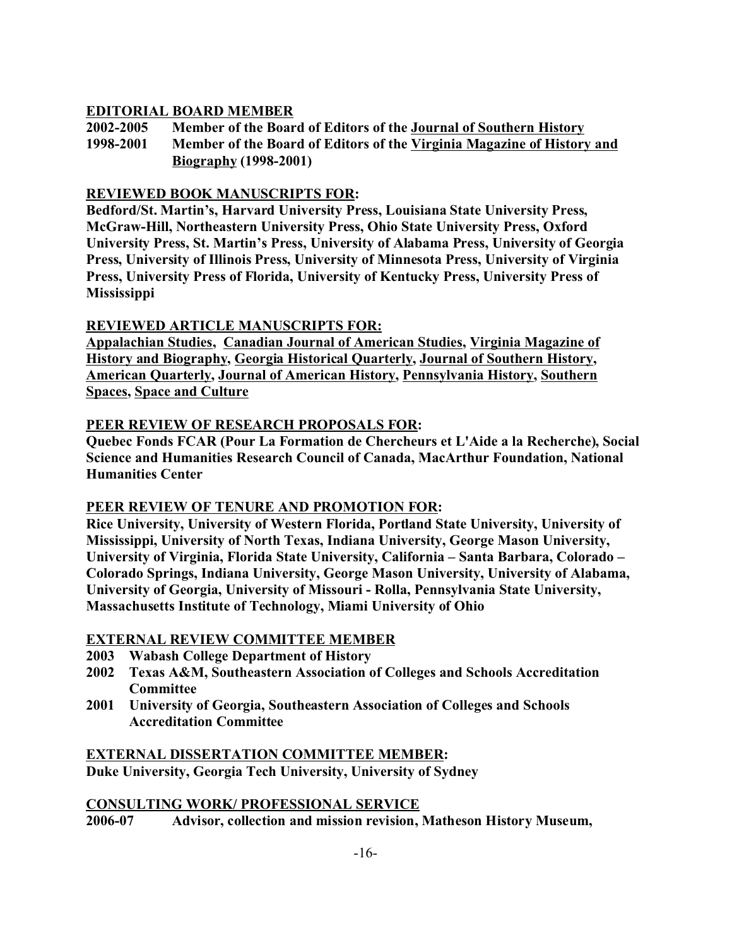## **EDITORIAL BOARD MEMBER**

**2002-2005 Member of the Board of Editors of the Journal of Southern History 1998-2001 Member of the Board of Editors of the Virginia Magazine of History and Biography (1998-2001)**

### **REVIEWED BOOK MANUSCRIPTS FOR:**

**Bedford/St. Martin's, Harvard University Press, Louisiana State University Press, McGraw-Hill, Northeastern University Press, Ohio State University Press, Oxford University Press, St. Martin's Press, University of Alabama Press, University of Georgia Press, University of Illinois Press, University of Minnesota Press, University of Virginia Press, University Press of Florida, University of Kentucky Press, University Press of Mississippi**

## **REVIEWED ARTICLE MANUSCRIPTS FOR:**

**Appalachian Studies, Canadian Journal of American Studies, Virginia Magazine of History and Biography, Georgia Historical Quarterly, Journal of Southern History, American Quarterly, Journal of American History, Pennsylvania History, Southern Spaces, Space and Culture**

### **PEER REVIEW OF RESEARCH PROPOSALS FOR:**

**Quebec Fonds FCAR (Pour La Formation de Chercheurs et L'Aide a la Recherche), Social Science and Humanities Research Council of Canada, MacArthur Foundation, National Humanities Center**

## **PEER REVIEW OF TENURE AND PROMOTION FOR:**

**Rice University, University of Western Florida, Portland State University, University of Mississippi, University of North Texas, Indiana University, George Mason University, University of Virginia, Florida State University, California – Santa Barbara, Colorado – Colorado Springs, Indiana University, George Mason University, University of Alabama, University of Georgia, University of Missouri - Rolla, Pennsylvania State University, Massachusetts Institute of Technology, Miami University of Ohio**

### **EXTERNAL REVIEW COMMITTEE MEMBER**

- **2003 Wabash College Department of History**
- **2002 Texas A&M, Southeastern Association of Colleges and Schools Accreditation Committee**
- **2001 University of Georgia, Southeastern Association of Colleges and Schools Accreditation Committee**

### **EXTERNAL DISSERTATION COMMITTEE MEMBER: Duke University, Georgia Tech University, University of Sydney**

### **CONSULTING WORK/ PROFESSIONAL SERVICE**

**2006-07 Advisor, collection and mission revision, Matheson History Museum,**